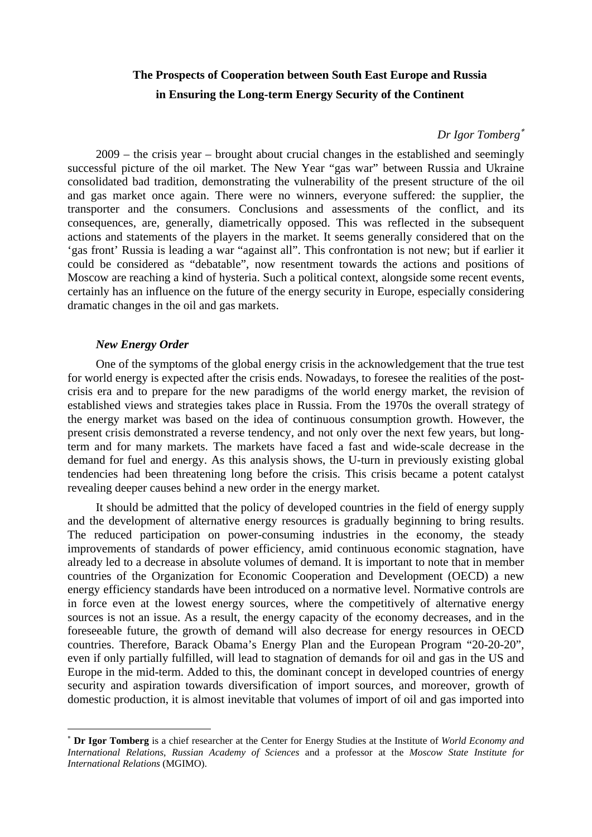# **The Prospects of Cooperation between South East Europe and Russia in Ensuring the Long-term Energy Security of the Continent**

#### *Dr Igor Tomberg*<sup>∗</sup>

2009 – the crisis year – brought about crucial changes in the established and seemingly successful picture of the oil market. The New Year "gas war" between Russia and Ukraine consolidated bad tradition, demonstrating the vulnerability of the present structure of the oil and gas market once again. There were no winners, everyone suffered: the supplier, the transporter and the consumers. Conclusions and assessments of the conflict, and its consequences, are, generally, diametrically opposed. This was reflected in the subsequent actions and statements of the players in the market. It seems generally considered that on the 'gas front' Russia is leading a war "against all". This confrontation is not new; but if earlier it could be considered as "debatable", now resentment towards the actions and positions of Moscow are reaching a kind of hysteria. Such a political context, alongside some recent events, certainly has an influence on the future of the energy security in Europe, especially considering dramatic changes in the oil and gas markets.

# *New Energy Order*

 $\overline{a}$ 

One of the symptoms of the global energy crisis in the acknowledgement that the true test for world energy is expected after the crisis ends. Nowadays, to foresee the realities of the postcrisis era and to prepare for the new paradigms of the world energy market, the revision of established views and strategies takes place in Russia. From the 1970s the overall strategy of the energy market was based on the idea of continuous consumption growth. However, the present crisis demonstrated a reverse tendency, and not only over the next few years, but longterm and for many markets. The markets have faced a fast and wide-scale decrease in the demand for fuel and energy. As this analysis shows, the U-turn in previously existing global tendencies had been threatening long before the crisis. This crisis became a potent catalyst revealing deeper causes behind a new order in the energy market.

It should be admitted that the policy of developed countries in the field of energy supply and the development of alternative energy resources is gradually beginning to bring results. The reduced participation on power-consuming industries in the economy, the steady improvements of standards of power efficiency, amid continuous economic stagnation, have already led to a decrease in absolute volumes of demand. It is important to note that in member countries of the Organization for Economic Cooperation and Development (OECD) a new energy efficiency standards have been introduced on a normative level. Normative controls are in force even at the lowest energy sources, where the competitively of alternative energy sources is not an issue. As a result, the energy capacity of the economy decreases, and in the foreseeable future, the growth of demand will also decrease for energy resources in OECD countries. Therefore, Barack Obama's Energy Plan and the European Program "20-20-20", even if only partially fulfilled, will lead to stagnation of demands for oil and gas in the US and Europe in the mid-term. Added to this, the dominant concept in developed countries of energy security and aspiration towards diversification of import sources, and moreover, growth of domestic production, it is almost inevitable that volumes of import of oil and gas imported into

<sup>∗</sup> **Dr Igor Tomberg** is a chief researcher at the Center for Energy Studies at the Institute of *World Economy and International Relations*, *Russian Academy of Sciences* and a professor at the *Moscow State Institute for International Relations* (MGIMO).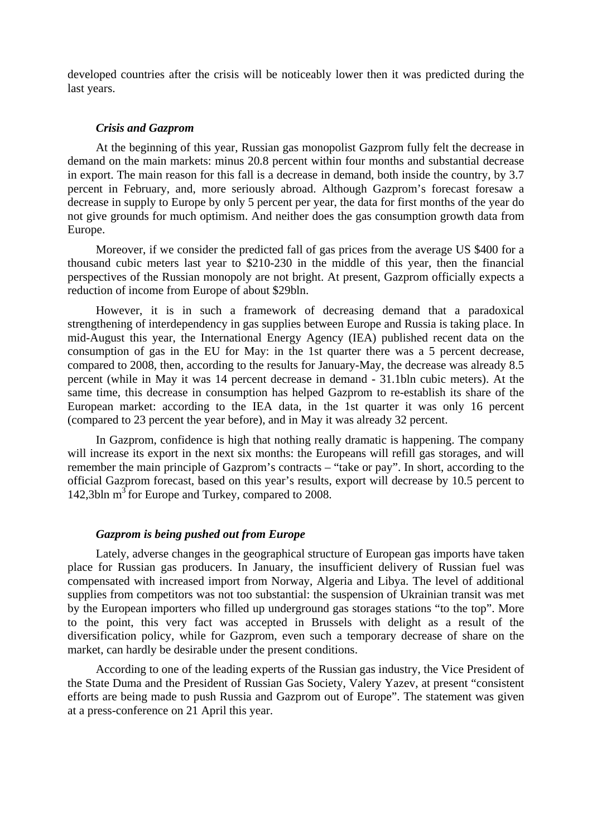developed countries after the crisis will be noticeably lower then it was predicted during the last years.

#### *Crisis and Gazprom*

At the beginning of this year, Russian gas monopolist Gazprom fully felt the decrease in demand on the main markets: minus 20.8 percent within four months and substantial decrease in export. The main reason for this fall is a decrease in demand, both inside the country, by 3.7 percent in February, and, more seriously abroad. Although Gazprom's forecast foresaw a decrease in supply to Europe by only 5 percent per year, the data for first months of the year do not give grounds for much optimism. And neither does the gas consumption growth data from Europe.

Moreover, if we consider the predicted fall of gas prices from the average US \$400 for a thousand cubic meters last year to \$210-230 in the middle of this year, then the financial perspectives of the Russian monopoly are not bright. At present, Gazprom officially expects a reduction of income from Europe of about \$29bln.

However, it is in such a framework of decreasing demand that a paradoxical strengthening of interdependency in gas supplies between Europe and Russia is taking place. In mid-August this year, the International Energy Agency (IEA) published recent data on the consumption of gas in the EU for May: in the 1st quarter there was a 5 percent decrease, compared to 2008, then, according to the results for January-May, the decrease was already 8.5 percent (while in May it was 14 percent decrease in demand - 31.1bln cubic meters). At the same time, this decrease in consumption has helped Gazprom to re-establish its share of the European market: according to the IEA data, in the 1st quarter it was only 16 percent (compared to 23 percent the year before), and in May it was already 32 percent.

In Gazprom, confidence is high that nothing really dramatic is happening. The company will increase its export in the next six months: the Europeans will refill gas storages, and will remember the main principle of Gazprom's contracts – "take or pay". In short, according to the official Gazprom forecast, based on this year's results, export will decrease by 10.5 percent to 142,3bln  $m<sup>3</sup>$  for Europe and Turkey, compared to 2008.

# *Gazprom is being pushed out from Europe*

Lately, adverse changes in the geographical structure of European gas imports have taken place for Russian gas producers. In January, the insufficient delivery of Russian fuel was compensated with increased import from Norway, Algeria and Libya. The level of additional supplies from competitors was not too substantial: the suspension of Ukrainian transit was met by the European importers who filled up underground gas storages stations "to the top". More to the point, this very fact was accepted in Brussels with delight as a result of the diversification policy, while for Gazprom, even such a temporary decrease of share on the market, can hardly be desirable under the present conditions.

According to one of the leading experts of the Russian gas industry, the Vice President of the State Duma and the President of Russian Gas Society, Valery Yazev, at present "consistent efforts are being made to push Russia and Gazprom out of Europe". The statement was given at a press-conference on 21 April this year.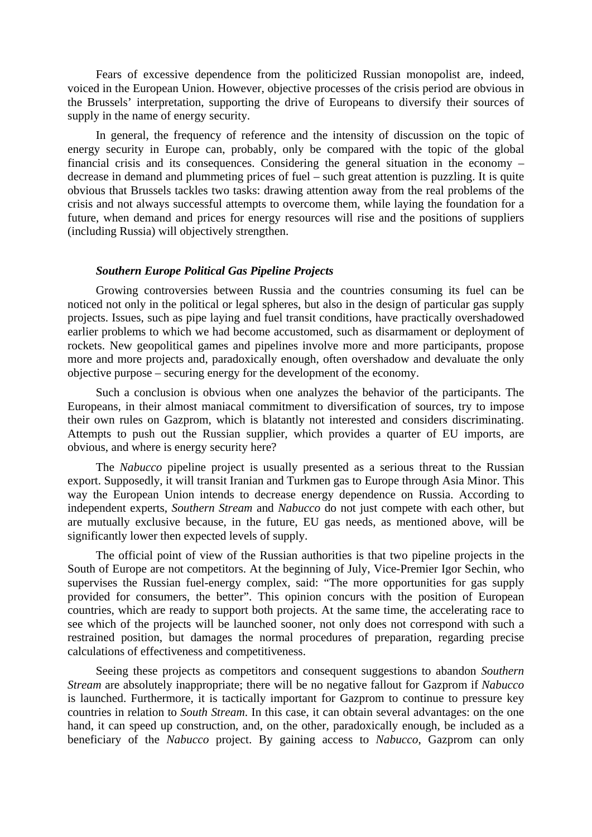Fears of excessive dependence from the politicized Russian monopolist are, indeed, voiced in the European Union. However, objective processes of the crisis period are obvious in the Brussels' interpretation, supporting the drive of Europeans to diversify their sources of supply in the name of energy security.

In general, the frequency of reference and the intensity of discussion on the topic of energy security in Europe can, probably, only be compared with the topic of the global financial crisis and its consequences. Considering the general situation in the economy – decrease in demand and plummeting prices of fuel – such great attention is puzzling. It is quite obvious that Brussels tackles two tasks: drawing attention away from the real problems of the crisis and not always successful attempts to overcome them, while laying the foundation for a future, when demand and prices for energy resources will rise and the positions of suppliers (including Russia) will objectively strengthen.

# *Southern Europe Political Gas Pipeline Projects*

Growing controversies between Russia and the countries consuming its fuel can be noticed not only in the political or legal spheres, but also in the design of particular gas supply projects. Issues, such as pipe laying and fuel transit conditions, have practically overshadowed earlier problems to which we had become accustomed, such as disarmament or deployment of rockets. New geopolitical games and pipelines involve more and more participants, propose more and more projects and, paradoxically enough, often overshadow and devaluate the only objective purpose – securing energy for the development of the economy.

Such a conclusion is obvious when one analyzes the behavior of the participants. The Europeans, in their almost maniacal commitment to diversification of sources, try to impose their own rules on Gazprom, which is blatantly not interested and considers discriminating. Attempts to push out the Russian supplier, which provides a quarter of EU imports, are obvious, and where is energy security here?

The *Nabucco* pipeline project is usually presented as a serious threat to the Russian export. Supposedly, it will transit Iranian and Turkmen gas to Europe through Asia Minor. This way the European Union intends to decrease energy dependence on Russia. According to independent experts, *Southern Stream* and *Nabucco* do not just compete with each other, but are mutually exclusive because, in the future, EU gas needs, as mentioned above, will be significantly lower then expected levels of supply.

The official point of view of the Russian authorities is that two pipeline projects in the South of Europe are not competitors. At the beginning of July, Vice-Premier Igor Sechin, who supervises the Russian fuel-energy complex, said: "The more opportunities for gas supply provided for consumers, the better". This opinion concurs with the position of European countries, which are ready to support both projects. At the same time, the accelerating race to see which of the projects will be launched sooner, not only does not correspond with such a restrained position, but damages the normal procedures of preparation, regarding precise calculations of effectiveness and competitiveness.

Seeing these projects as competitors and consequent suggestions to abandon *Southern Stream* are absolutely inappropriate; there will be no negative fallout for Gazprom if *Nabucco*  is launched. Furthermore, it is tactically important for Gazprom to continue to pressure key countries in relation to *South Stream*. In this case, it can obtain several advantages: on the one hand, it can speed up construction, and, on the other, paradoxically enough, be included as a beneficiary of the *Nabucco* project. By gaining access to *Nabucco*, Gazprom can only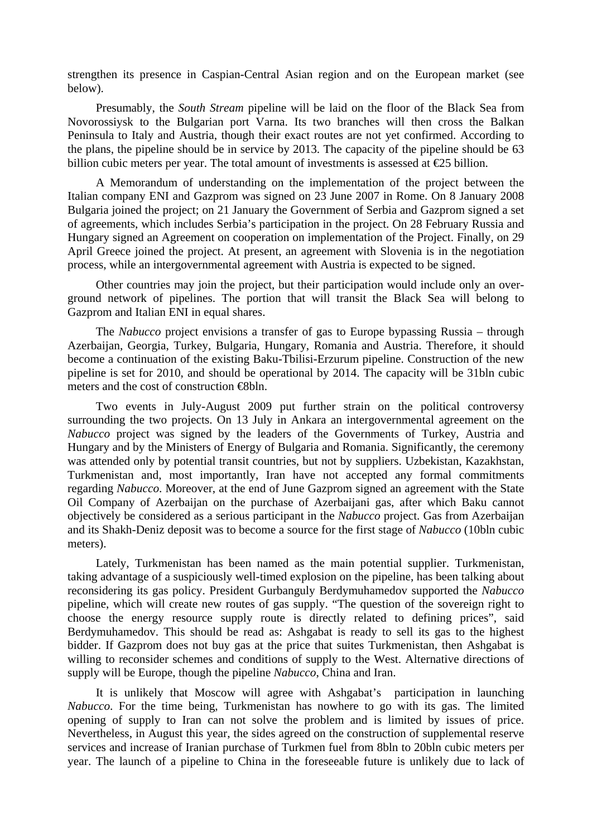strengthen its presence in Caspian-Central Asian region and on the European market (see below).

Presumably, the *South Stream* pipeline will be laid on the floor of the Black Sea from Novorossiysk to the Bulgarian port Varna. Its two branches will then cross the Balkan Peninsula to Italy and Austria, though their exact routes are not yet confirmed. According to the plans, the pipeline should be in service by 2013. The capacity of the pipeline should be 63 billion cubic meters per year. The total amount of investments is assessed at  $\epsilon$ 25 billion.

A Memorandum of understanding on the implementation of the project between the Italian company ENI and Gazprom was signed on 23 June 2007 in Rome. On 8 January 2008 Bulgaria joined the project; on 21 January the Government of Serbia and Gazprom signed a set of agreements, which includes Serbia's participation in the project. On 28 February Russia and Hungary signed an Agreement on cooperation on implementation of the Project. Finally, on 29 April Greece joined the project. At present, an agreement with Slovenia is in the negotiation process, while an intergovernmental agreement with Austria is expected to be signed.

Other countries may join the project, but their participation would include only an overground network of pipelines. The portion that will transit the Black Sea will belong to Gazprom and Italian ENI in equal shares.

The *Nabucco* project envisions a transfer of gas to Europe bypassing Russia – through Azerbaijan, Georgia, Turkey, Bulgaria, Hungary, Romania and Austria. Therefore, it should become a continuation of the existing Baku-Tbilisi-Erzurum pipeline. Construction of the new pipeline is set for 2010, and should be operational by 2014. The capacity will be 31bln cubic meters and the cost of construction €8bln.

Two events in July-August 2009 put further strain on the political controversy surrounding the two projects. On 13 July in Ankara an intergovernmental agreement on the *Nabucco* project was signed by the leaders of the Governments of Turkey, Austria and Hungary and by the Ministers of Energy of Bulgaria and Romania. Significantly, the ceremony was attended only by potential transit countries, but not by suppliers. Uzbekistan, Kazakhstan, Turkmenistan and, most importantly, Iran have not accepted any formal commitments regarding *Nabucco*. Moreover, at the end of June Gazprom signed an agreement with the State Oil Company of Azerbaijan on the purchase of Azerbaijani gas, after which Baku cannot objectively be considered as a serious participant in the *Nabucco* project. Gas from Azerbaijan and its Shakh-Deniz deposit was to become a source for the first stage of *Nabucco* (10bln cubic meters).

Lately, Turkmenistan has been named as the main potential supplier. Turkmenistan, taking advantage of a suspiciously well-timed explosion on the pipeline, has been talking about reconsidering its gas policy. President Gurbanguly Berdymuhamedov supported the *Nabucco* pipeline, which will create new routes of gas supply. "The question of the sovereign right to choose the energy resource supply route is directly related to defining prices", said Berdymuhamedov. This should be read as: Ashgabat is ready to sell its gas to the highest bidder. If Gazprom does not buy gas at the price that suites Turkmenistan, then Ashgabat is willing to reconsider schemes and conditions of supply to the West. Alternative directions of supply will be Europe, though the pipeline *Nabucco*, China and Iran.

It is unlikely that Moscow will agree with Ashgabat's participation in launching *Nabucco*. For the time being, Turkmenistan has nowhere to go with its gas. The limited opening of supply to Iran can not solve the problem and is limited by issues of price. Nevertheless, in August this year, the sides agreed on the construction of supplemental reserve services and increase of Iranian purchase of Turkmen fuel from 8bln to 20bln cubic meters per year. The launch of a pipeline to China in the foreseeable future is unlikely due to lack of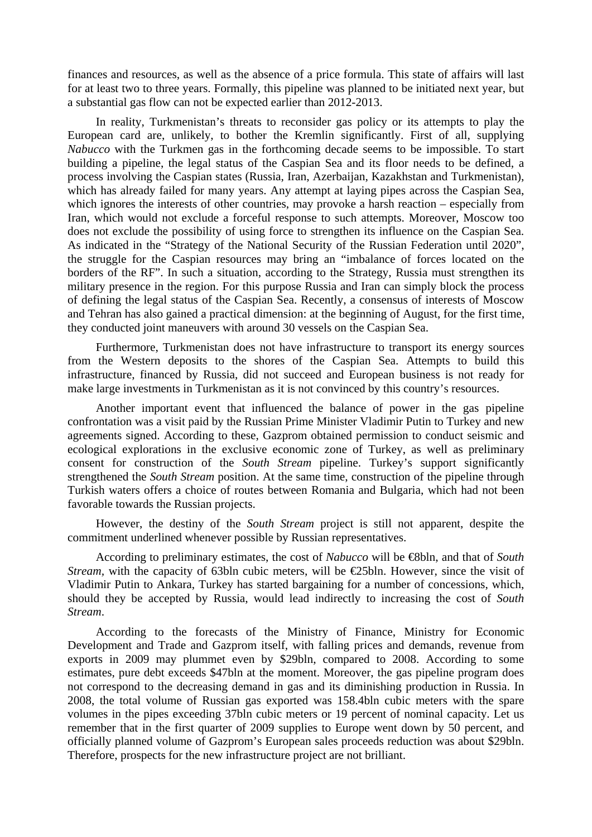finances and resources, as well as the absence of a price formula. This state of affairs will last for at least two to three years. Formally, this pipeline was planned to be initiated next year, but a substantial gas flow can not be expected earlier than 2012-2013.

In reality, Turkmenistan's threats to reconsider gas policy or its attempts to play the European card are, unlikely, to bother the Kremlin significantly. First of all, supplying *Nabucco* with the Turkmen gas in the forthcoming decade seems to be impossible. To start building a pipeline, the legal status of the Caspian Sea and its floor needs to be defined, a process involving the Caspian states (Russia, Iran, Azerbaijan, Kazakhstan and Turkmenistan), which has already failed for many years. Any attempt at laying pipes across the Caspian Sea, which ignores the interests of other countries, may provoke a harsh reaction – especially from Iran, which would not exclude a forceful response to such attempts. Moreover, Moscow too does not exclude the possibility of using force to strengthen its influence on the Caspian Sea. As indicated in the "Strategy of the National Security of the Russian Federation until 2020", the struggle for the Caspian resources may bring an "imbalance of forces located on the borders of the RF". In such a situation, according to the Strategy, Russia must strengthen its military presence in the region. For this purpose Russia and Iran can simply block the process of defining the legal status of the Caspian Sea. Recently, a consensus of interests of Moscow and Tehran has also gained a practical dimension: at the beginning of August, for the first time, they conducted joint maneuvers with around 30 vessels on the Caspian Sea.

Furthermore, Turkmenistan does not have infrastructure to transport its energy sources from the Western deposits to the shores of the Caspian Sea. Attempts to build this infrastructure, financed by Russia, did not succeed and European business is not ready for make large investments in Turkmenistan as it is not convinced by this country's resources.

Another important event that influenced the balance of power in the gas pipeline confrontation was a visit paid by the Russian Prime Minister Vladimir Putin to Turkey and new agreements signed. According to these, Gazprom obtained permission to conduct seismic and ecological explorations in the exclusive economic zone of Turkey, as well as preliminary consent for construction of the *South Stream* pipeline. Turkey's support significantly strengthened the *South Stream* position. At the same time, construction of the pipeline through Turkish waters offers a choice of routes between Romania and Bulgaria, which had not been favorable towards the Russian projects.

However, the destiny of the *South Stream* project is still not apparent, despite the commitment underlined whenever possible by Russian representatives.

According to preliminary estimates, the cost of *Nabucco* will be €8bln, and that of *South Stream,* with the capacity of 63bln cubic meters, will be  $E$ 5bln. However, since the visit of Vladimir Putin to Ankara, Turkey has started bargaining for a number of concessions, which, should they be accepted by Russia, would lead indirectly to increasing the cost of *South Stream*.

According to the forecasts of the Ministry of Finance, Ministry for Economic Development and Trade and Gazprom itself, with falling prices and demands, revenue from exports in 2009 may plummet even by \$29bln, compared to 2008. According to some estimates, pure debt exceeds \$47bln at the moment. Moreover, the gas pipeline program does not correspond to the decreasing demand in gas and its diminishing production in Russia. In 2008, the total volume of Russian gas exported was 158.4bln cubic meters with the spare volumes in the pipes exceeding 37bln cubic meters or 19 percent of nominal capacity. Let us remember that in the first quarter of 2009 supplies to Europe went down by 50 percent, and officially planned volume of Gazprom's European sales proceeds reduction was about \$29bln. Therefore, prospects for the new infrastructure project are not brilliant.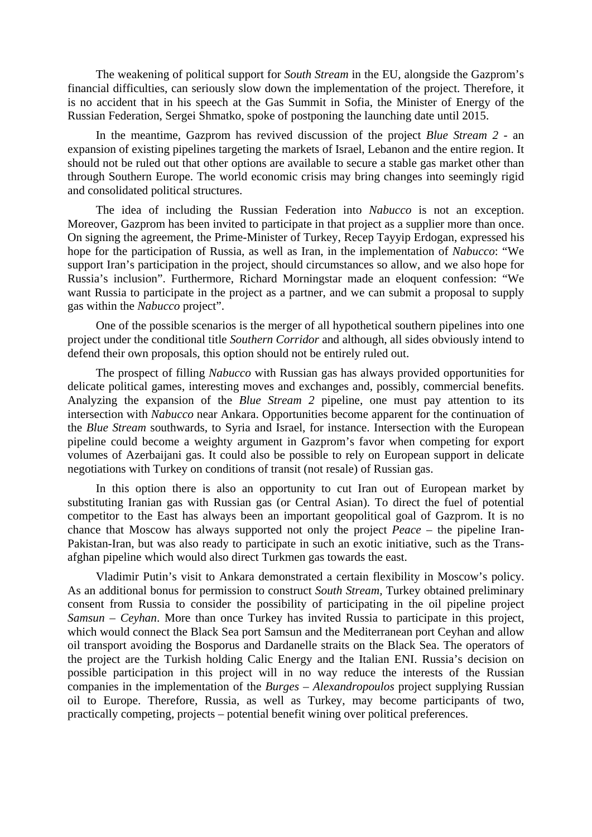The weakening of political support for *South Stream* in the EU, alongside the Gazprom's financial difficulties, can seriously slow down the implementation of the project. Therefore, it is no accident that in his speech at the Gas Summit in Sofia, the Minister of Energy of the Russian Federation, Sergei Shmatko, spoke of postponing the launching date until 2015.

In the meantime, Gazprom has revived discussion of the project *Blue Stream 2 -* an expansion of existing pipelines targeting the markets of Israel, Lebanon and the entire region. It should not be ruled out that other options are available to secure a stable gas market other than through Southern Europe. The world economic crisis may bring changes into seemingly rigid and consolidated political structures.

The idea of including the Russian Federation into *Nabucco* is not an exception. Moreover, Gazprom has been invited to participate in that project as a supplier more than once. On signing the agreement, the Prime-Minister of Turkey, Recep Tayyip Erdogan, expressed his hope for the participation of Russia, as well as Iran, in the implementation of *Nabucco*: "We support Iran's participation in the project, should circumstances so allow, and we also hope for Russia's inclusion". Furthermore, Richard Morningstar made an eloquent confession: "We want Russia to participate in the project as a partner, and we can submit a proposal to supply gas within the *Nabucco* project".

One of the possible scenarios is the merger of all hypothetical southern pipelines into one project under the conditional title *Southern Corridor* and although, all sides obviously intend to defend their own proposals, this option should not be entirely ruled out.

The prospect of filling *Nabucco* with Russian gas has always provided opportunities for delicate political games, interesting moves and exchanges and, possibly, commercial benefits. Analyzing the expansion of the *Blue Stream 2* pipeline, one must pay attention to its intersection with *Nabucco* near Ankara. Opportunities become apparent for the continuation of the *Blue Stream* southwards, to Syria and Israel, for instance. Intersection with the European pipeline could become a weighty argument in Gazprom's favor when competing for export volumes of Azerbaijani gas. It could also be possible to rely on European support in delicate negotiations with Turkey on conditions of transit (not resale) of Russian gas.

In this option there is also an opportunity to cut Iran out of European market by substituting Iranian gas with Russian gas (or Central Asian). To direct the fuel of potential competitor to the East has always been an important geopolitical goal of Gazprom. It is no chance that Moscow has always supported not only the project *Peace* – the pipeline Iran-Pakistan-Iran, but was also ready to participate in such an exotic initiative, such as the Transafghan pipeline which would also direct Turkmen gas towards the east.

Vladimir Putin's visit to Ankara demonstrated a certain flexibility in Moscow's policy. As an additional bonus for permission to construct *South Stream,* Turkey obtained preliminary consent from Russia to consider the possibility of participating in the oil pipeline project *Samsun – Ceyhan*. More than once Turkey has invited Russia to participate in this project, which would connect the Black Sea port Samsun and the Mediterranean port Ceyhan and allow oil transport avoiding the Bosporus and Dardanelle straits on the Black Sea. The operators of the project are the Turkish holding Calic Energy and the Italian ENI. Russia's decision on possible participation in this project will in no way reduce the interests of the Russian companies in the implementation of the *Burges – Alexandropoulos* project supplying Russian oil to Europe. Therefore, Russia, as well as Turkey, may become participants of two, practically competing, projects – potential benefit wining over political preferences.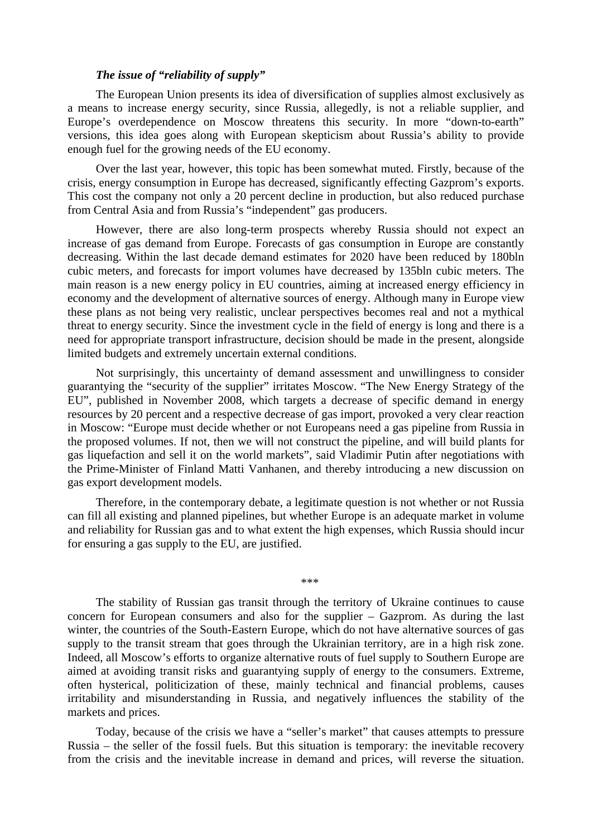# *The issue of "reliability of supply"*

The European Union presents its idea of diversification of supplies almost exclusively as a means to increase energy security, since Russia, allegedly, is not a reliable supplier, and Europe's overdependence on Moscow threatens this security. In more "down-to-earth" versions, this idea goes along with European skepticism about Russia's ability to provide enough fuel for the growing needs of the EU economy.

Over the last year, however, this topic has been somewhat muted. Firstly, because of the crisis, energy consumption in Europe has decreased, significantly effecting Gazprom's exports. This cost the company not only a 20 percent decline in production, but also reduced purchase from Central Asia and from Russia's "independent" gas producers.

However, there are also long-term prospects whereby Russia should not expect an increase of gas demand from Europe. Forecasts of gas consumption in Europe are constantly decreasing. Within the last decade demand estimates for 2020 have been reduced by 180bln cubic meters, and forecasts for import volumes have decreased by 135bln cubic meters. The main reason is a new energy policy in EU countries, aiming at increased energy efficiency in economy and the development of alternative sources of energy. Although many in Europe view these plans as not being very realistic, unclear perspectives becomes real and not a mythical threat to energy security. Since the investment cycle in the field of energy is long and there is a need for appropriate transport infrastructure, decision should be made in the present, alongside limited budgets and extremely uncertain external conditions.

Not surprisingly, this uncertainty of demand assessment and unwillingness to consider guarantying the "security of the supplier" irritates Moscow. "The New Energy Strategy of the EU", published in November 2008, which targets a decrease of specific demand in energy resources by 20 percent and a respective decrease of gas import, provoked a very clear reaction in Moscow: "Europe must decide whether or not Europeans need a gas pipeline from Russia in the proposed volumes. If not, then we will not construct the pipeline, and will build plants for gas liquefaction and sell it on the world markets", said Vladimir Putin after negotiations with the Prime-Minister of Finland Matti Vanhanen, and thereby introducing a new discussion on gas export development models.

Therefore, in the contemporary debate, a legitimate question is not whether or not Russia can fill all existing and planned pipelines, but whether Europe is an adequate market in volume and reliability for Russian gas and to what extent the high expenses, which Russia should incur for ensuring a gas supply to the EU, are justified.

\*\*\*

The stability of Russian gas transit through the territory of Ukraine continues to cause concern for European consumers and also for the supplier – Gazprom. As during the last winter, the countries of the South-Eastern Europe, which do not have alternative sources of gas supply to the transit stream that goes through the Ukrainian territory, are in a high risk zone. Indeed, all Moscow's efforts to organize alternative routs of fuel supply to Southern Europe are aimed at avoiding transit risks and guarantying supply of energy to the consumers. Extreme, often hysterical, politicization of these, mainly technical and financial problems, causes irritability and misunderstanding in Russia, and negatively influences the stability of the markets and prices.

Today, because of the crisis we have a "seller's market" that causes attempts to pressure Russia – the seller of the fossil fuels. But this situation is temporary: the inevitable recovery from the crisis and the inevitable increase in demand and prices, will reverse the situation.